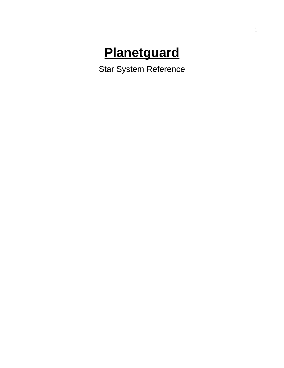# **Planetguard**

Star System Reference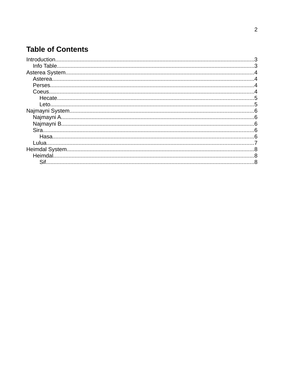### **Table of Contents**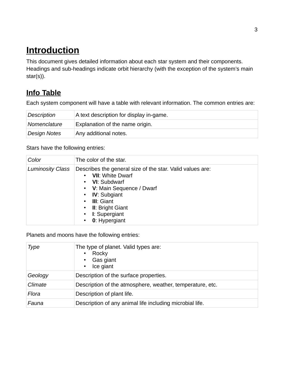# <span id="page-2-0"></span> **Introduction**

This document gives detailed information about each star system and their components. Headings and sub-headings indicate orbit hierarchy (with the exception of the system's main star(s)).

### <span id="page-2-1"></span> **Info Table**

Each system component will have a table with relevant information. The common entries are:

| Description  | A text description for display in-game. |
|--------------|-----------------------------------------|
| Nomenclature | Explanation of the name origin.         |
| Design Notes | Any additional notes.                   |

Stars have the following entries:

| Color                   | The color of the star.                                                                                                                                                                                                                 |
|-------------------------|----------------------------------------------------------------------------------------------------------------------------------------------------------------------------------------------------------------------------------------|
| <b>Luminosity Class</b> | Describes the general size of the star. Valid values are:<br><b>VII:</b> White Dwarf<br>• VI: Subdwarf<br>• V: Main Sequence / Dwarf<br>• IV: Subgiant<br><b>III</b> : Giant<br>• II: Bright Giant<br>• I: Supergiant<br>0: Hypergiant |

Planets and moons have the following entries:

| Type    | The type of planet. Valid types are:<br>Rocky<br>٠<br>Gas giant<br>Ice giant |
|---------|------------------------------------------------------------------------------|
| Geology | Description of the surface properties.                                       |
| Climate | Description of the atmosphere, weather, temperature, etc.                    |
| Flora   | Description of plant life.                                                   |
| Fauna   | Description of any animal life including microbial life.                     |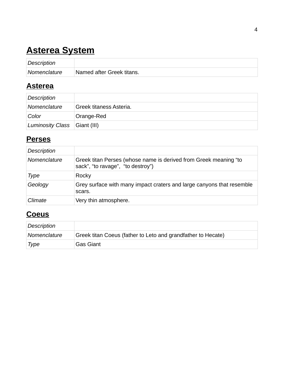# <span id="page-3-2"></span> **Asterea System**

| Description  |                           |
|--------------|---------------------------|
| Nomenclature | Named after Greek titans. |

### <span id="page-3-1"></span> **Asterea**

| Description                  |                                |
|------------------------------|--------------------------------|
| Nomenclature                 | <b>Greek titaness Asteria.</b> |
| Color                        | Orange-Red                     |
| Luminosity Class Giant (III) |                                |

#### <span id="page-3-0"></span> **Perses**

| <b>Description</b> |                                                                                                       |
|--------------------|-------------------------------------------------------------------------------------------------------|
| Nomenclature       | Greek titan Perses (whose name is derived from Greek meaning "to<br>sack", "to ravage", "to destroy") |
| Type               | Rocky                                                                                                 |
| Geology            | Grey surface with many impact craters and large canyons that resemble<br>scars.                       |
| Climate            | Very thin atmosphere.                                                                                 |

### **C oeus**

| Description  |                                                              |
|--------------|--------------------------------------------------------------|
| Nomenclature | Greek titan Coeus (father to Leto and grandfather to Hecate) |
| Type         | <b>Gas Giant</b>                                             |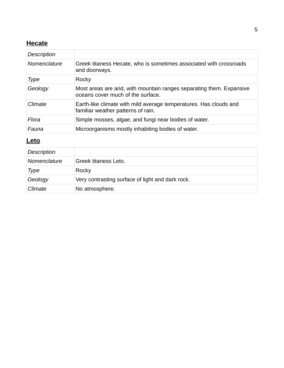#### <span id="page-4-1"></span> **Hecate**

| Description  |                                                                                                           |
|--------------|-----------------------------------------------------------------------------------------------------------|
| Nomenclature | Greek titaness Hecate, who is sometimes associated with crossroads<br>and doorways.                       |
| Type         | Rocky                                                                                                     |
| Geology      | Most areas are arid, with mountain ranges separating them. Expansive<br>oceans cover much of the surface. |
| Climate      | Earth-like climate with mild average temperatures. Has clouds and<br>familiar weather patterns of rain.   |
| Flora        | Simple mosses, algae, and fungi near bodies of water.                                                     |
| Fauna        | Microorganisms mostly inhabiting bodies of water.                                                         |

#### <span id="page-4-0"></span> **Leto**

| <b>Description</b> |                                                  |
|--------------------|--------------------------------------------------|
| Nomenclature       | <b>Greek titaness Leto.</b>                      |
| Type               | Rocky                                            |
| Geology            | Very contrasting surface of light and dark rock. |
| Climate            | No atmosphere.                                   |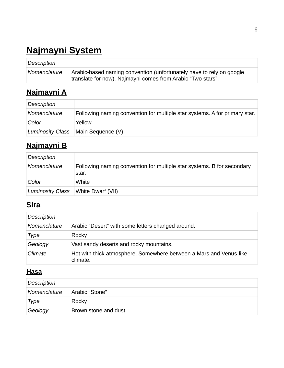# <span id="page-5-4"></span> **Najmayni System**

| Description         |                                                                                                                                     |
|---------------------|-------------------------------------------------------------------------------------------------------------------------------------|
| <i>Nomenclature</i> | Arabic-based naming convention (unfortunately have to rely on google<br>translate for now). Najmayni comes from Arabic "Two stars". |

# <span id="page-5-3"></span> **Najmayni A**

| <b>Description</b> |                                                                            |
|--------------------|----------------------------------------------------------------------------|
| Nomenclature       | Following naming convention for multiple star systems. A for primary star. |
| Color              | Yellow                                                                     |
|                    | Luminosity Class   Main Sequence (V)                                       |

# <span id="page-5-2"></span> **Najmayni B**

| <b>Description</b> |                                                                                 |
|--------------------|---------------------------------------------------------------------------------|
| Nomenclature       | Following naming convention for multiple star systems. B for secondary<br>star. |
| Color              | White                                                                           |
| Luminosity Class   | White Dwarf (VII)                                                               |

# <span id="page-5-1"></span> **Sira**

| Description  |                                                                                |
|--------------|--------------------------------------------------------------------------------|
| Nomenclature | Arabic "Desert" with some letters changed around.                              |
| Type         | Rocky                                                                          |
| Geology      | Vast sandy deserts and rocky mountains.                                        |
| Climate      | Hot with thick atmosphere. Somewhere between a Mars and Venus-like<br>climate. |

#### <span id="page-5-0"></span> **Hasa**

| Description  |                       |
|--------------|-----------------------|
| Nomenclature | Arabic "Stone"        |
| Type         | Rocky                 |
| Geology      | Brown stone and dust. |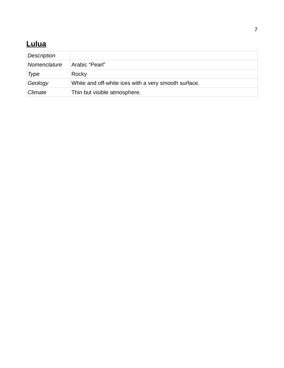# <span id="page-6-0"></span> **Lulua**

| <b>Description</b> |                                                      |
|--------------------|------------------------------------------------------|
| Nomenclature       | Arabic "Pearl"                                       |
| Type               | Rocky                                                |
| Geology            | White and off-white ices with a very smooth surface. |
| Climate            | Thin but visible atmosphere.                         |